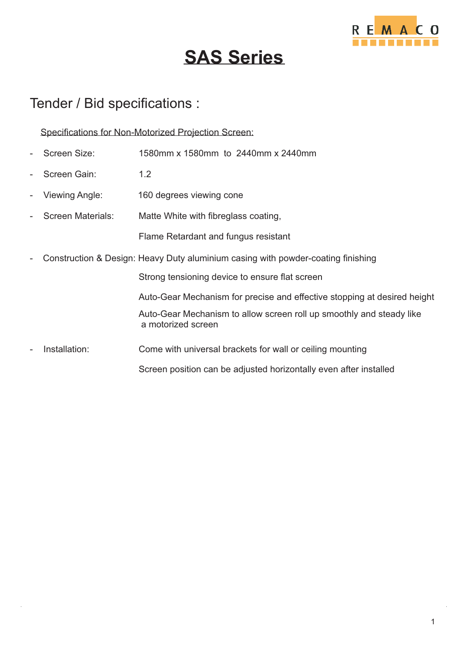

# **SAS Series**

### Tender / Bid specifications :

Specifications for Non-Motorized Projection Screen:

- Screen Size: 1580mm x 1580mm to 2440mm x 2440mm
- Screen Gain: 1.2
- Viewing Angle: 160 degrees viewing cone
- Screen Materials: Matte White with fibreglass coating,

Flame Retardant and fungus resistant

- Construction & Design: Heavy Duty aluminium casing with powder-coating finishing

Strong tensioning device to ensure flat screen

Auto-Gear Mechanism for precise and effective stopping at desired height

 a motorized screen Auto-Gear Mechanism to allow screen roll up smoothly and steady like

Screen position can be adjusted horizontally even after installed

Installation: Come with universal brackets for wall or ceiling mounting

1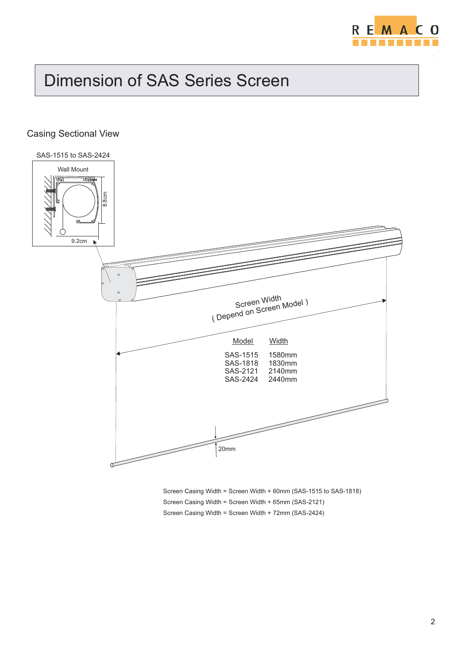

## Dimension of SAS Series Screen

#### Casing Sectional View



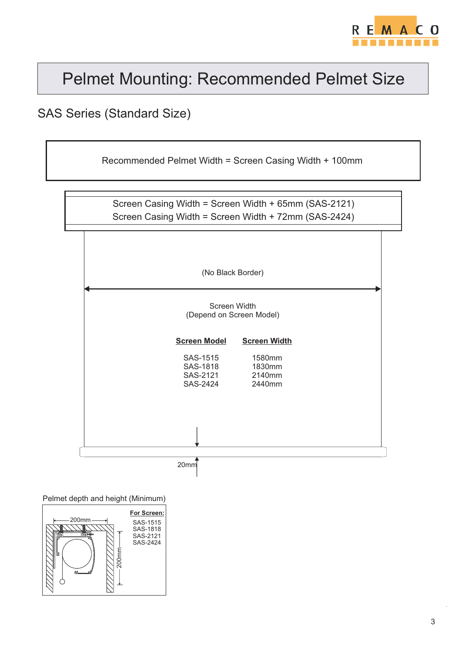

#### SAS Series (Standard Size)

Recommended Pelmet Width = Screen Casing Width + 100mm

Screen Casing Width = Screen Width + 65mm (SAS-2121) Screen Casing Width = Screen Width + 72mm (SAS-2424)



#### Screen Width (Depend on Screen Model)

**Screen Model** SAS-1515 SAS-1818 SAS-2121 SAS-2424 **Screen Width** 1580mm 1830mm 2140mm 2440mm

20mm

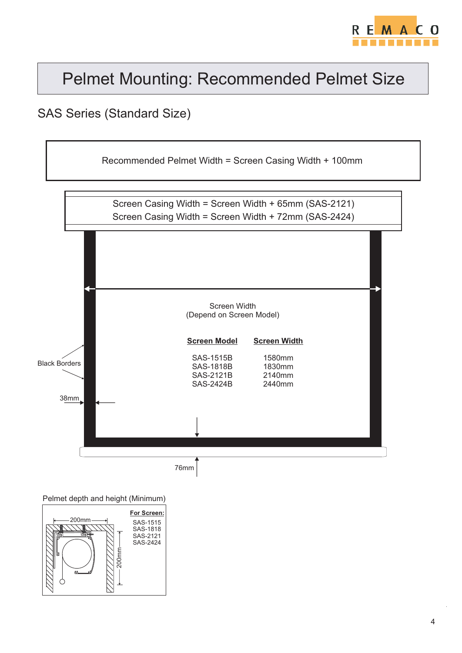

### SAS Series (Standard Size)





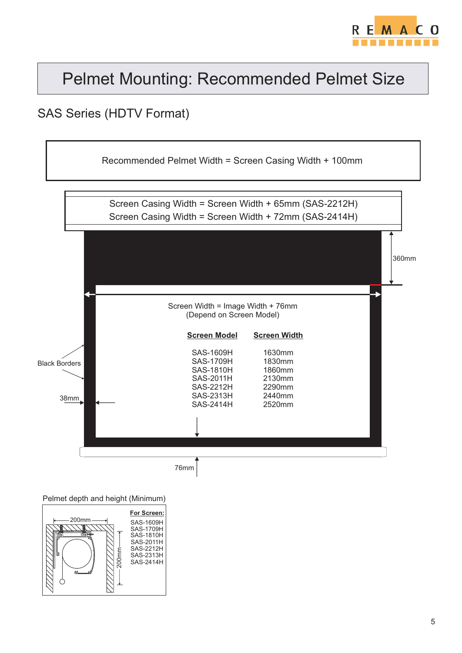

### SAS Series (HDTV Format)



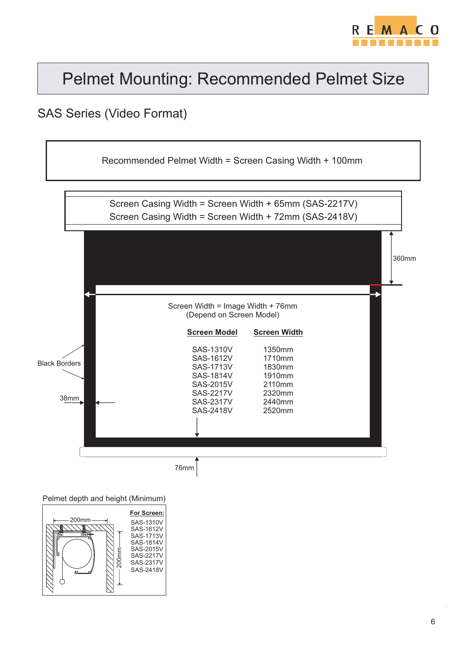

### SAS Series (Video Format)